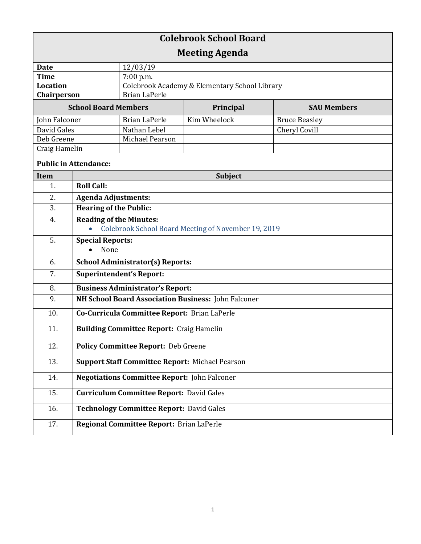| <b>Colebrook School Board</b> |                                                        |                                               |              |                      |  |
|-------------------------------|--------------------------------------------------------|-----------------------------------------------|--------------|----------------------|--|
| <b>Meeting Agenda</b>         |                                                        |                                               |              |                      |  |
| <b>Date</b>                   |                                                        | 12/03/19                                      |              |                      |  |
| <b>Time</b>                   |                                                        | 7:00 p.m.                                     |              |                      |  |
| <b>Location</b>               |                                                        | Colebrook Academy & Elementary School Library |              |                      |  |
| Chairperson                   |                                                        | <b>Brian LaPerle</b>                          |              |                      |  |
| <b>School Board Members</b>   |                                                        |                                               | Principal    | <b>SAU Members</b>   |  |
| John Falconer                 |                                                        | <b>Brian LaPerle</b>                          | Kim Wheelock | <b>Bruce Beasley</b> |  |
| David Gales                   |                                                        | Nathan Lebel                                  |              | Cheryl Covill        |  |
| Deb Greene                    |                                                        | Michael Pearson                               |              |                      |  |
| Craig Hamelin                 |                                                        |                                               |              |                      |  |
| <b>Public in Attendance:</b>  |                                                        |                                               |              |                      |  |
| <b>Item</b>                   | <b>Subject</b>                                         |                                               |              |                      |  |
| 1.                            | <b>Roll Call:</b>                                      |                                               |              |                      |  |
| 2.                            | <b>Agenda Adjustments:</b>                             |                                               |              |                      |  |
| 3.                            | <b>Hearing of the Public:</b>                          |                                               |              |                      |  |
| 4.                            | <b>Reading of the Minutes:</b>                         |                                               |              |                      |  |
|                               | Colebrook School Board Meeting of November 19, 2019    |                                               |              |                      |  |
| 5.                            | <b>Special Reports:</b>                                |                                               |              |                      |  |
|                               | None                                                   |                                               |              |                      |  |
| 6.                            | <b>School Administrator(s) Reports:</b>                |                                               |              |                      |  |
| 7.                            | <b>Superintendent's Report:</b>                        |                                               |              |                      |  |
| 8.                            | <b>Business Administrator's Report:</b>                |                                               |              |                      |  |
| 9.                            | NH School Board Association Business: John Falconer    |                                               |              |                      |  |
| 10.                           | Co-Curricula Committee Report: Brian LaPerle           |                                               |              |                      |  |
| 11.                           | <b>Building Committee Report: Craig Hamelin</b>        |                                               |              |                      |  |
| 12.                           | <b>Policy Committee Report: Deb Greene</b>             |                                               |              |                      |  |
| 13.                           | <b>Support Staff Committee Report: Michael Pearson</b> |                                               |              |                      |  |
| 14.                           | <b>Negotiations Committee Report: John Falconer</b>    |                                               |              |                      |  |
| 15.                           | <b>Curriculum Committee Report: David Gales</b>        |                                               |              |                      |  |
| 16.                           | <b>Technology Committee Report: David Gales</b>        |                                               |              |                      |  |
| 17.                           | Regional Committee Report: Brian LaPerle               |                                               |              |                      |  |